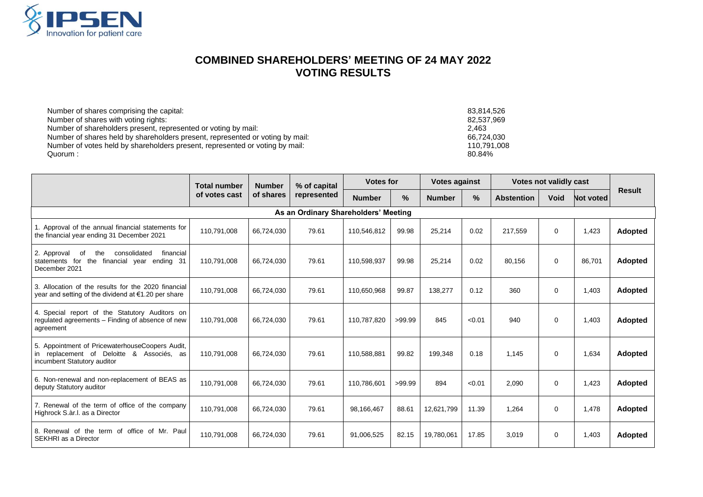

## **COMBINED SHAREHOLDERS' MEETING OF 24 MAY 2022 VOTING RESULTS**

| Number of shares comprising the capital:                                      | 83.814.526  |
|-------------------------------------------------------------------------------|-------------|
| Number of shares with voting rights:                                          | 82.537.969  |
| Number of shareholders present, represented or voting by mail:                | 2.463       |
| Number of shares held by shareholders present, represented or voting by mail: | 66.724.030  |
| Number of votes held by shareholders present, represented or voting by mail:  | 110.791.008 |
| Quorum :                                                                      | 80.84%      |

|                                                                                                                             | <b>Total number</b> | <b>Number</b> | % of capital | <b>Votes for</b> |        | <b>Votes against</b> |        | <b>Votes not validly cast</b> |             |           |                |
|-----------------------------------------------------------------------------------------------------------------------------|---------------------|---------------|--------------|------------------|--------|----------------------|--------|-------------------------------|-------------|-----------|----------------|
|                                                                                                                             | of votes cast       | of shares     | represented  | <b>Number</b>    | $\%$   | <b>Number</b>        | %      | <b>Abstention</b>             | <b>Void</b> | Not voted | <b>Result</b>  |
| As an Ordinary Shareholders' Meeting                                                                                        |                     |               |              |                  |        |                      |        |                               |             |           |                |
| 1. Approval of the annual financial statements for<br>the financial year ending 31 December 2021                            | 110,791,008         | 66,724,030    | 79.61        | 110,546,812      | 99.98  | 25,214               | 0.02   | 217,559                       | $\Omega$    | 1,423     | Adopted        |
| 2. Approval<br>consolidated<br>financial<br>the<br>of<br>the financial year ending 31<br>statements for<br>December 2021    | 110.791.008         | 66,724,030    | 79.61        | 110,598,937      | 99.98  | 25,214               | 0.02   | 80.156                        | $\Omega$    | 86,701    | <b>Adopted</b> |
| 3. Allocation of the results for the 2020 financial<br>year and setting of the dividend at $€1.20$ per share                | 110,791,008         | 66,724,030    | 79.61        | 110,650,968      | 99.87  | 138,277              | 0.12   | 360                           | $\Omega$    | 1,403     | Adopted        |
| 4. Special report of the Statutory Auditors on<br>regulated agreements - Finding of absence of new<br>agreement             | 110,791,008         | 66,724,030    | 79.61        | 110,787,820      | >99.99 | 845                  | < 0.01 | 940                           | $\Omega$    | 1.403     | Adopted        |
| 5. Appointment of PricewaterhouseCoopers Audit,<br>in replacement of Deloitte & Associés, as<br>incumbent Statutory auditor | 110,791,008         | 66,724,030    | 79.61        | 110.588.881      | 99.82  | 199,348              | 0.18   | 1.145                         | $\Omega$    | 1.634     | <b>Adopted</b> |
| 6. Non-renewal and non-replacement of BEAS as<br>deputy Statutory auditor                                                   | 110,791,008         | 66,724,030    | 79.61        | 110,786,601      | >99.99 | 894                  | < 0.01 | 2,090                         | $\Omega$    | 1,423     | <b>Adopted</b> |
| 7. Renewal of the term of office of the company<br>Highrock S.àr.l. as a Director                                           | 110,791,008         | 66,724,030    | 79.61        | 98,166,467       | 88.61  | 12,621,799           | 11.39  | 1,264                         | $\Omega$    | 1,478     | <b>Adopted</b> |
| 8. Renewal of the term of office of Mr. Paul<br>SEKHRI as a Director                                                        | 110,791,008         | 66,724,030    | 79.61        | 91,006,525       | 82.15  | 19,780,061           | 17.85  | 3,019                         | $\Omega$    | 1,403     | <b>Adopted</b> |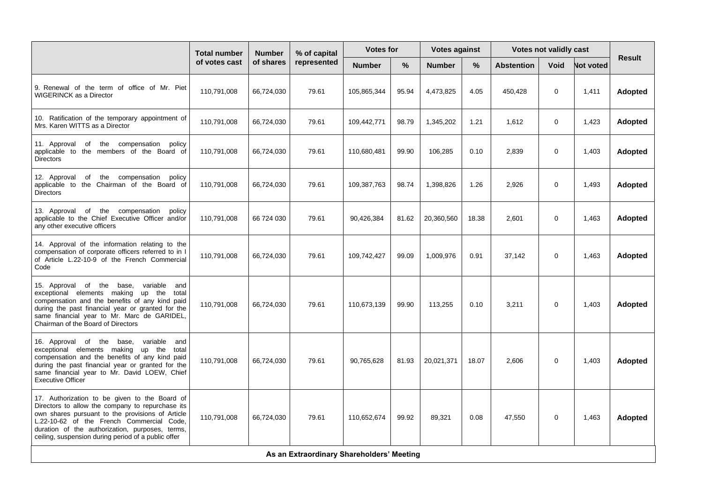|                                                                                                                                                                                                                                                                                                              | <b>Total number</b> | <b>Number</b> | % of capital | <b>Votes for</b> |       | <b>Votes against</b> |       | <b>Votes not validly cast</b> |             |                  |                |
|--------------------------------------------------------------------------------------------------------------------------------------------------------------------------------------------------------------------------------------------------------------------------------------------------------------|---------------------|---------------|--------------|------------------|-------|----------------------|-------|-------------------------------|-------------|------------------|----------------|
|                                                                                                                                                                                                                                                                                                              | of votes cast       | of shares     | represented  | <b>Number</b>    | %     | <b>Number</b>        | $\%$  | <b>Abstention</b>             | Void        | <b>Not voted</b> | Result         |
| 9. Renewal of the term of office of Mr. Piet<br><b>WIGERINCK as a Director</b>                                                                                                                                                                                                                               | 110,791,008         | 66,724,030    | 79.61        | 105,865,344      | 95.94 | 4,473,825            | 4.05  | 450,428                       | 0           | 1,411            | Adopted        |
| 10. Ratification of the temporary appointment of<br>Mrs. Karen WITTS as a Director                                                                                                                                                                                                                           | 110,791,008         | 66,724,030    | 79.61        | 109,442,771      | 98.79 | 1,345,202            | 1.21  | 1,612                         | $\mathbf 0$ | 1,423            | Adopted        |
| the compensation policy<br>11. Approval of<br>applicable to the members of the Board of<br>Directors                                                                                                                                                                                                         | 110,791,008         | 66,724,030    | 79.61        | 110,680,481      | 99.90 | 106,285              | 0.10  | 2,839                         | $\mathbf 0$ | 1,403            | <b>Adopted</b> |
| the compensation policy<br>12. Approval<br>of<br>applicable to the Chairman of the Board of<br><b>Directors</b>                                                                                                                                                                                              | 110,791,008         | 66,724,030    | 79.61        | 109,387,763      | 98.74 | 1,398,826            | 1.26  | 2,926                         | $\Omega$    | 1,493            | Adopted        |
| 13. Approval of the compensation<br>policy<br>applicable to the Chief Executive Officer and/or<br>any other executive officers                                                                                                                                                                               | 110,791,008         | 66 724 030    | 79.61        | 90,426,384       | 81.62 | 20,360,560           | 18.38 | 2,601                         | $\mathbf 0$ | 1,463            | <b>Adopted</b> |
| 14. Approval of the information relating to the<br>compensation of corporate officers referred to in I<br>of Article L.22-10-9 of the French Commercial<br>Code                                                                                                                                              | 110,791,008         | 66,724,030    | 79.61        | 109,742,427      | 99.09 | 1,009,976            | 0.91  | 37,142                        | 0           | 1,463            | Adopted        |
| 15. Approval of the base, variable and<br>exceptional elements making up the total<br>compensation and the benefits of any kind paid<br>during the past financial year or granted for the<br>same financial year to Mr. Marc de GARIDEL,<br>Chairman of the Board of Directors                               | 110,791,008         | 66,724,030    | 79.61        | 110,673,139      | 99.90 | 113,255              | 0.10  | 3,211                         | $\mathbf 0$ | 1,403            | <b>Adopted</b> |
| 16. Approval of the<br>base,<br>variable and<br>exceptional elements making up the total<br>compensation and the benefits of any kind paid<br>during the past financial year or granted for the<br>same financial year to Mr. David LOEW, Chief<br><b>Executive Officer</b>                                  | 110.791.008         | 66,724,030    | 79.61        | 90.765.628       | 81.93 | 20,021,371           | 18.07 | 2.606                         | $\Omega$    | 1.403            | <b>Adopted</b> |
| 17. Authorization to be given to the Board of<br>Directors to allow the company to repurchase its<br>own shares pursuant to the provisions of Article<br>L.22-10-62 of the French Commercial Code,<br>duration of the authorization, purposes, terms,<br>ceiling, suspension during period of a public offer | 110,791,008         | 66,724,030    | 79.61        | 110,652,674      | 99.92 | 89,321               | 0.08  | 47,550                        | 0           | 1,463            | Adopted        |
| As an Extraordinary Shareholders' Meeting                                                                                                                                                                                                                                                                    |                     |               |              |                  |       |                      |       |                               |             |                  |                |